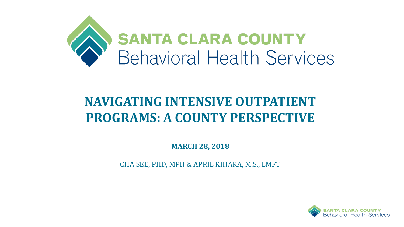

# **NAVIGATING INTENSIVE OUTPATIENT PROGRAMS: A COUNTY PERSPECTIVE**

**MARCH 28, 2018**

CHA SEE, PHD, MPH & APRIL KIHARA, M.S., LMFT

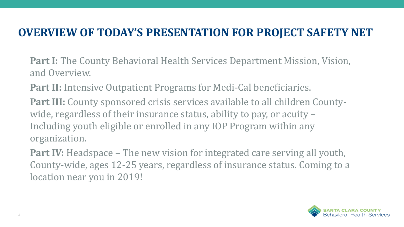## **OVERVIEW OF TODAY'S PRESENTATION FOR PROJECT SAFETY NET**

**Part I:** The County Behavioral Health Services Department Mission, Vision, and Overview.

**Part II:** Intensive Outpatient Programs for Medi-Cal beneficiaries.

**Part III:** County sponsored crisis services available to all children Countywide, regardless of their insurance status, ability to pay, or acuity – Including youth eligible or enrolled in any IOP Program within any organization.

**Part IV:** Headspace – The new vision for integrated care serving all youth, County-wide, ages 12-25 years, regardless of insurance status. Coming to a location near you in 2019!

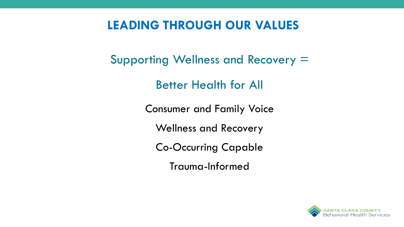## **LEADING THROUGH OUR VALUES**

Supporting Wellness and Recovery =

Better Health for All

Consumer and Family Voice

Wellness and Recovery

Co-Occurring Capable

Trauma-Informed

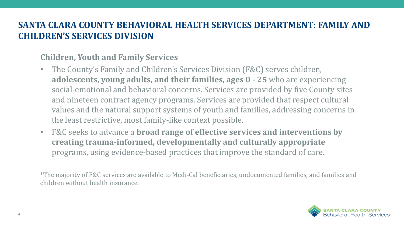### **SANTA CLARA COUNTY BEHAVIORAL HEALTH SERVICES DEPARTMENT: FAMILY AND CHILDREN'S SERVICES DIVISION**

### **Children, Youth and Family Services**

- The County's Family and Children's Services Division (F&C) serves children, **adolescents, young adults, and their families, ages 0 - 25** who are experiencing social-emotional and behavioral concerns. Services are provided by five County sites and nineteen contract agency programs. Services are provided that respect cultural values and the natural support systems of youth and families, addressing concerns in the least restrictive, most family-like context possible.
- F&C seeks to advance a **broad range of effective services and interventions by creating trauma-informed, developmentally and culturally appropriate**  programs, using evidence-based practices that improve the standard of care.

\*The majority of F&C services are available to Medi-Cal beneficiaries, undocumented families, and families and children without health insurance.

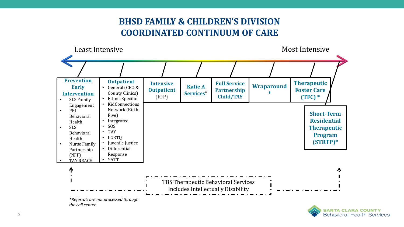### **BHSD FAMILY & CHILDREN'S DIVISION COORDINATED CONTINUUM OF CARE**



*the call center.*

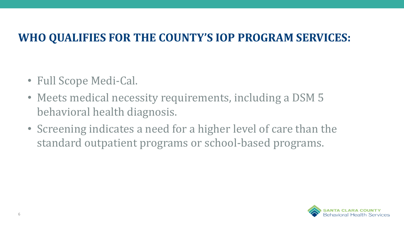## **WHO QUALIFIES FOR THE COUNTY'S IOP PROGRAM SERVICES:**

- Full Scope Medi-Cal.
- Meets medical necessity requirements, including a DSM 5 behavioral health diagnosis.
- Screening indicates a need for a higher level of care than the standard outpatient programs or school-based programs.

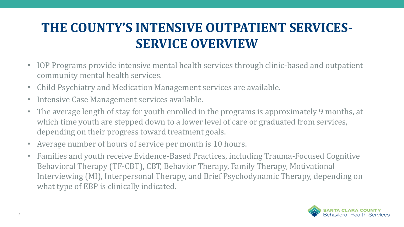# **THE COUNTY'S INTENSIVE OUTPATIENT SERVICES-SERVICE OVERVIEW**

- IOP Programs provide intensive mental health services through clinic-based and outpatient community mental health services.
- Child Psychiatry and Medication Management services are available.
- Intensive Case Management services available.
- The average length of stay for youth enrolled in the programs is approximately 9 months, at which time youth are stepped down to a lower level of care or graduated from services, depending on their progress toward treatment goals.
- Average number of hours of service per month is 10 hours.
- Families and youth receive Evidence-Based Practices, including Trauma-Focused Cognitive Behavioral Therapy (TF-CBT), CBT, Behavior Therapy, Family Therapy, Motivational Interviewing (MI), Interpersonal Therapy, and Brief Psychodynamic Therapy, depending on what type of EBP is clinically indicated.

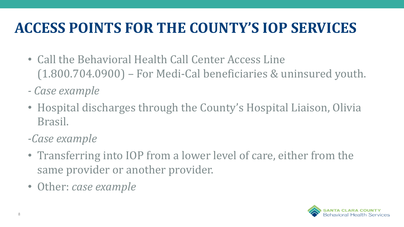# **ACCESS POINTS FOR THE COUNTY'S IOP SERVICES**

- Call the Behavioral Health Call Center Access Line (1.800.704.0900) – For Medi-Cal beneficiaries & uninsured youth.
- *- Case example*
- Hospital discharges through the County's Hospital Liaison, Olivia Brasil.
- *-Case example*
- Transferring into IOP from a lower level of care, either from the same provider or another provider.
- Other: *case example*

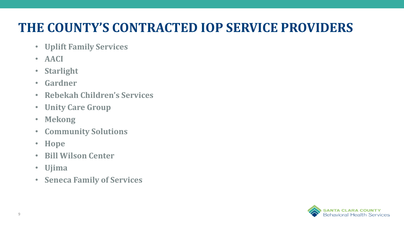# **THE COUNTY'S CONTRACTED IOP SERVICE PROVIDERS**

- **Uplift Family Services**
- **AACI**
- **Starlight**
- **Gardner**
- **Rebekah Children's Services**
- **Unity Care Group**
- **Mekong**
- **Community Solutions**
- **Hope**
- **Bill Wilson Center**
- **Ujima**
- **Seneca Family of Services**

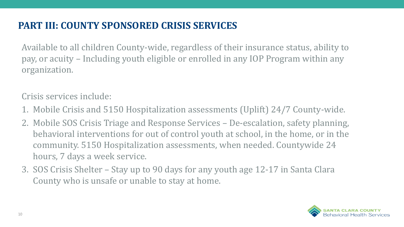### **PART III: COUNTY SPONSORED CRISIS SERVICES**

Available to all children County-wide, regardless of their insurance status, ability to pay, or acuity – Including youth eligible or enrolled in any IOP Program within any organization.

Crisis services include:

- 1. Mobile Crisis and 5150 Hospitalization assessments (Uplift) 24/7 County-wide.
- 2. Mobile SOS Crisis Triage and Response Services De-escalation, safety planning, behavioral interventions for out of control youth at school, in the home, or in the community. 5150 Hospitalization assessments, when needed. Countywide 24 hours, 7 days a week service.
- 3. SOS Crisis Shelter Stay up to 90 days for any youth age 12-17 in Santa Clara County who is unsafe or unable to stay at home.

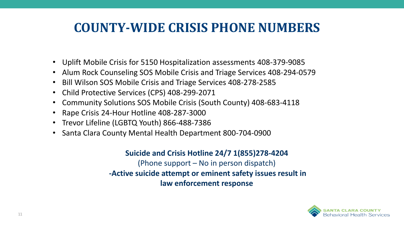## **COUNTY-WIDE CRISIS PHONE NUMBERS**

- Uplift Mobile Crisis for 5150 Hospitalization assessments 408-379-9085
- Alum Rock Counseling SOS Mobile Crisis and Triage Services 408-294-0579
- Bill Wilson SOS Mobile Crisis and Triage Services 408-278-2585
- Child Protective Services (CPS) 408-299-2071
- Community Solutions SOS Mobile Crisis (South County) 408-683-4118
- Rape Crisis 24-Hour Hotline 408-287-3000
- Trevor Lifeline (LGBTQ Youth) 866-488-7386
- Santa Clara County Mental Health Department 800-704-0900

#### **Suicide and Crisis Hotline 24/7 1(855)278-4204**  (Phone support – No in person dispatch) **-Active suicide attempt or eminent safety issues result in law enforcement response**

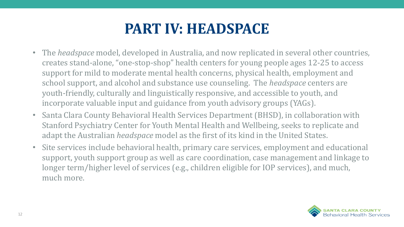# **PART IV: HEADSPACE**

- The *headspace* model, developed in Australia, and now replicated in several other countries, creates stand-alone, "one-stop-shop" health centers for young people ages 12-25 to access support for mild to moderate mental health concerns, physical health, employment and school support, and alcohol and substance use counseling. The *headspace* centers are youth-friendly, culturally and linguistically responsive, and accessible to youth, and incorporate valuable input and guidance from youth advisory groups (YAGs).
- Santa Clara County Behavioral Health Services Department (BHSD), in collaboration with Stanford Psychiatry Center for Youth Mental Health and Wellbeing, seeks to replicate and adapt the Australian *headspace* model as the first of its kind in the United States.
- Site services include behavioral health, primary care services, employment and educational support, youth support group as well as care coordination, case management and linkage to longer term/higher level of services (e.g., children eligible for IOP services), and much, much more.